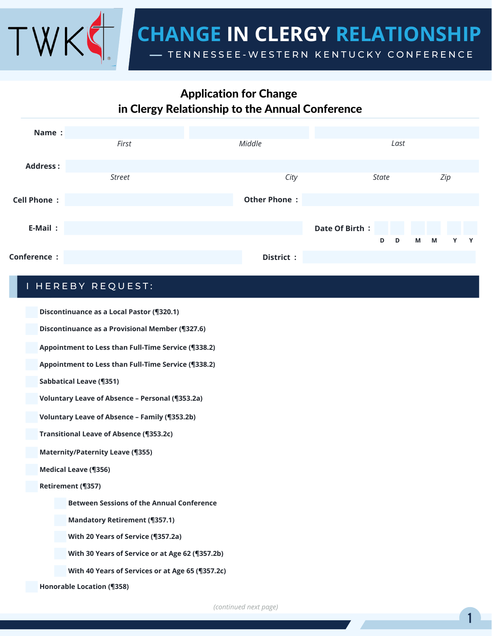

# Application for Change in Clergy Relationship to the Annual Conference

| Name:              |               |                     |                   |                  |
|--------------------|---------------|---------------------|-------------------|------------------|
|                    | First         | Middle              | Last              |                  |
| <b>Address:</b>    |               |                     |                   |                  |
|                    | <b>Street</b> | City                | <b>State</b>      | Zip              |
| <b>Cell Phone:</b> |               | <b>Other Phone:</b> |                   |                  |
| E-Mail:            |               |                     | Date Of Birth:    |                  |
|                    |               |                     | D<br>$\mathbf{D}$ | M<br>M<br>Y<br>Y |
| Conference :       |               | District:           |                   |                  |
|                    |               |                     |                   |                  |

## I HEREBY REQUEST:

**Discontinuance as a Local Pastor (¶320.1)**

**Discontinuance as a Provisional Member (¶327.6)**

**Appointment to Less than Full-Time Service (¶338.2)**

**Appointment to Less than Full-Time Service (¶338.2)**

**Sabbatical Leave (¶351)**

**Voluntary Leave of Absence – Personal (¶353.2a)**

**Voluntary Leave of Absence – Family (¶353.2b)**

**Transitional Leave of Absence (¶353.2c)**

**Maternity/Paternity Leave (¶355)**

**Medical Leave (¶356)**

**Retirement (¶357)**

**Between Sessions of the Annual Conference**

**Mandatory Retirement (¶357.1)**

**With 20 Years of Service (¶357.2a)**

**With 30 Years of Service or at Age 62 (¶357.2b)**

**With 40 Years of Services or at Age 65 (¶357.2c)**

**Honorable Location (¶358)**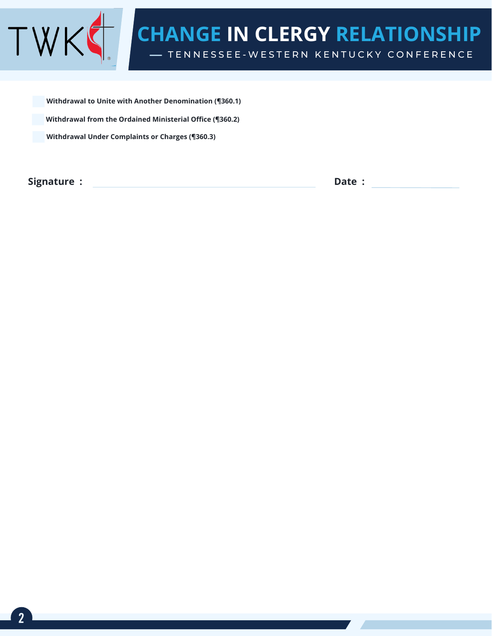

**Withdrawal from the Ordained Ministerial Office (¶360.2) Withdrawal Under Complaints or Charges (¶360.3) Withdrawal to Unite with Another Denomination (¶360.1)**

**Signature : Date :**